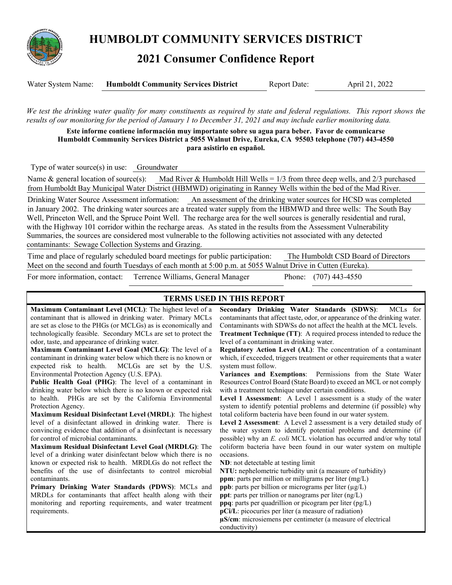

**HUMBOLDT COMMUNITY SERVICES DISTRICT** 

# **2021 Consumer Confidence Report**

| Water System Name: | <b>Humboldt Community Services District</b> | <b>Report Date:</b> | April 21, 2022 |
|--------------------|---------------------------------------------|---------------------|----------------|
|                    |                                             |                     |                |

*We test the drinking water quality for many constituents as required by state and federal regulations. This report shows the results of our monitoring for the period of January 1 to December 31, 2021 and may include earlier monitoring data.* 

**Este informe contiene información muy importante sobre su agua para beber. Favor de comunicarse Humboldt Community Services District a 5055 Walnut Drive, Eureka, CA 95503 telephone (707) 443-4550 para asistirlo en español.** 

Type of water source(s) in use: Groundwater

Name & general location of source(s): Mad River & Humboldt Hill Wells = 1/3 from three deep wells, and 2/3 purchased from Humboldt Bay Municipal Water District (HBMWD) originating in Ranney Wells within the bed of the Mad River.

Drinking Water Source Assessment information: An assessment of the drinking water sources for HCSD was completed in January 2002. The drinking water sources are a treated water supply from the HBMWD and three wells: The South Bay Well, Princeton Well, and the Spruce Point Well. The recharge area for the well sources is generally residential and rural, with the Highway 101 corridor within the recharge areas. As stated in the results from the Assessment Vulnerability Summaries, the sources are considered most vulnerable to the following activities not associated with any detected contaminants: Sewage Collection Systems and Grazing.

Time and place of regularly scheduled board meetings for public participation: The Humboldt CSD Board of Directors Meet on the second and fourth Tuesdays of each month at 5:00 p.m. at 5055 Walnut Drive in Cutten (Eureka).

For more information, contact: Terrence Williams, General Manager Phone: (707) 443-4550

## **TERMS USED IN THIS REPORT**

**Maximum Contaminant Level (MCL)**: The highest level of a contaminant that is allowed in drinking water. Primary MCLs are set as close to the PHGs (or MCLGs) as is economically and technologically feasible. Secondary MCLs are set to protect the odor, taste, and appearance of drinking water.

**Maximum Contaminant Level Goal (MCLG)**: The level of a contaminant in drinking water below which there is no known or expected risk to health. MCLGs are set by the U.S. Environmental Protection Agency (U.S. EPA).

**Public Health Goal (PHG)**: The level of a contaminant in drinking water below which there is no known or expected risk to health. PHGs are set by the California Environmental Protection Agency.

**Maximum Residual Disinfectant Level (MRDL)**: The highest level of a disinfectant allowed in drinking water. There is convincing evidence that addition of a disinfectant is necessary for control of microbial contaminants.

**Maximum Residual Disinfectant Level Goal (MRDLG)**: The level of a drinking water disinfectant below which there is no known or expected risk to health. MRDLGs do not reflect the benefits of the use of disinfectants to control microbial contaminants.

**Primary Drinking Water Standards (PDWS)**: MCLs and MRDLs for contaminants that affect health along with their monitoring and reporting requirements, and water treatment requirements.

**Secondary Drinking Water Standards (SDWS)**:MCLs for contaminants that affect taste, odor, or appearance of the drinking water. Contaminants with SDWSs do not affect the health at the MCL levels. **Treatment Technique (TT)**: A required process intended to reduce the level of a contaminant in drinking water.

**Regulatory Action Level (AL)**: The concentration of a contaminant which, if exceeded, triggers treatment or other requirements that a water system must follow.

**Variances and Exemptions**: Permissions from the State Water Resources Control Board (State Board) to exceed an MCL or not comply with a treatment technique under certain conditions.

**Level 1 Assessment**: A Level 1 assessment is a study of the water system to identify potential problems and determine (if possible) why total coliform bacteria have been found in our water system.

**Level 2 Assessment**: A Level 2 assessment is a very detailed study of the water system to identify potential problems and determine (if possible) why an *E. coli* MCL violation has occurred and/or why total coliform bacteria have been found in our water system on multiple occasions.

**ND**: not detectable at testing limit

**NTU:** nephelometric turbidity unit (a measure of turbidity) **ppm**: parts per million or milligrams per liter (mg/L) **ppb**: parts per billion or micrograms per liter (µg/L) **ppt**: parts per trillion or nanograms per liter (ng/L) **ppq**: parts per quadrillion or picogram per liter (pg/L) **pCi/L**: picocuries per liter (a measure of radiation) **µS/cm**: microsiemens per centimeter (a measure of electrical conductivity)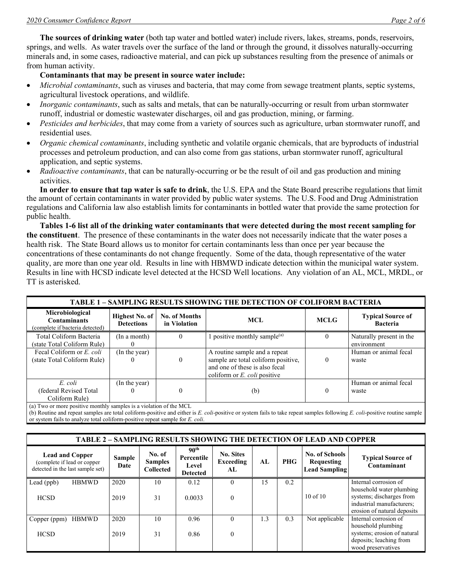**The sources of drinking water** (both tap water and bottled water) include rivers, lakes, streams, ponds, reservoirs, springs, and wells. As water travels over the surface of the land or through the ground, it dissolves naturally-occurring minerals and, in some cases, radioactive material, and can pick up substances resulting from the presence of animals or from human activity.

### **Contaminants that may be present in source water include:**

- *Microbial contaminants*, such as viruses and bacteria, that may come from sewage treatment plants, septic systems, agricultural livestock operations, and wildlife.
- *Inorganic contaminants*, such as salts and metals, that can be naturally-occurring or result from urban stormwater runoff, industrial or domestic wastewater discharges, oil and gas production, mining, or farming.
- *Pesticides and herbicides*, that may come from a variety of sources such as agriculture, urban stormwater runoff, and residential uses.
- *Organic chemical contaminants*, including synthetic and volatile organic chemicals, that are byproducts of industrial processes and petroleum production, and can also come from gas stations, urban stormwater runoff, agricultural application, and septic systems.
- *Radioactive contaminants*, that can be naturally-occurring or be the result of oil and gas production and mining activities.

**In order to ensure that tap water is safe to drink**, the U.S. EPA and the State Board prescribe regulations that limit the amount of certain contaminants in water provided by public water systems. The U.S. Food and Drug Administration regulations and California law also establish limits for contaminants in bottled water that provide the same protection for public health.

**Tables 1-6 list all of the drinking water contaminants that were detected during the most recent sampling for the constituent**. The presence of these contaminants in the water does not necessarily indicate that the water poses a health risk. The State Board allows us to monitor for certain contaminants less than once per year because the concentrations of these contaminants do not change frequently. Some of the data, though representative of the water quality, are more than one year old. Results in line with HBMWD indicate detection within the municipal water system. Results in line with HCSD indicate level detected at the HCSD Well locations. Any violation of an AL, MCL, MRDL, or TT is asterisked.

| <b>TABLE 1 - SAMPLING RESULTS SHOWING THE DETECTION OF COLIFORM BACTERIA</b> |                                     |                                      |                                                                                                                                                  |             |                                             |  |  |  |
|------------------------------------------------------------------------------|-------------------------------------|--------------------------------------|--------------------------------------------------------------------------------------------------------------------------------------------------|-------------|---------------------------------------------|--|--|--|
| Microbiological<br><b>Contaminants</b><br>(complete if bacteria detected)    | Highest No. of<br><b>Detections</b> | <b>No. of Months</b><br>in Violation | <b>MCL</b>                                                                                                                                       | <b>MCLG</b> | <b>Typical Source of</b><br><b>Bacteria</b> |  |  |  |
| Total Coliform Bacteria<br>(state Total Coliform Rule)                       | (In a month)                        |                                      | 1 positive monthly sample $^{(a)}$                                                                                                               | $\Omega$    | Naturally present in the<br>environment     |  |  |  |
| Fecal Coliform or E. coli<br>(state Total Coliform Rule)                     | (In the year)                       |                                      | A routine sample and a repeat<br>sample are total coliform positive,<br>and one of these is also fecal<br>coliform or $E$ , <i>coli</i> positive | $\theta$    | Human or animal fecal<br>waste              |  |  |  |
| E. coli<br>(federal Revised Total<br>Coliform Rule)                          | (In the year)                       |                                      | (b)                                                                                                                                              | $\Omega$    | Human or animal fecal<br>waste              |  |  |  |

(a) Two or more positive monthly samples is a violation of the MCL

(b) Routine and repeat samples are total coliform-positive and either is *E. coli*-positive or system fails to take repeat samples following *E. coli*-positive routine sample or system fails to analyze total coliform-positive repeat sample for *E. coli*.

| <b>TABLE 2 - SAMPLING RESULTS SHOWING THE DETECTION OF LEAD AND COPPER</b>                |                |                                              |                                                            |                                      |     |     |                                                             |                                                                                                                  |
|-------------------------------------------------------------------------------------------|----------------|----------------------------------------------|------------------------------------------------------------|--------------------------------------|-----|-----|-------------------------------------------------------------|------------------------------------------------------------------------------------------------------------------|
| <b>Lead and Copper</b><br>(complete if lead or copper<br>detected in the last sample set) | Sample<br>Date | No. of<br><b>Samples</b><br><b>Collected</b> | 90 <sup>th</sup><br>Percentile<br>Level<br><b>Detected</b> | <b>No. Sites</b><br>Exceeding<br>AL. | AL  | PHG | <b>No. of Schools</b><br>Requesting<br><b>Lead Sampling</b> | <b>Typical Source of</b><br>Contaminant                                                                          |
| Lead (ppb)<br><b>HBMWD</b>                                                                | 2020           | 10                                           | 0.12                                                       | $\Omega$                             | 15  | 0.2 |                                                             | Internal corrosion of                                                                                            |
| <b>HCSD</b>                                                                               | 2019           | 31                                           | 0.0033                                                     | $\theta$                             |     |     | $10$ of $10$                                                | household water plumbing<br>systems; discharges from<br>industrial manufacturers;<br>erosion of natural deposits |
| <b>HBMWD</b><br>Copper (ppm)                                                              | 2020           | 10                                           | 0.96                                                       | $\Omega$                             | 1.3 | 0.3 | Not applicable                                              | Internal corrosion of<br>household plumbing                                                                      |
| <b>HCSD</b>                                                                               | 2019           | 31                                           | 0.86                                                       | $\mathbf{0}$                         |     |     |                                                             | systems; erosion of natural<br>deposits; leaching from<br>wood preservatives                                     |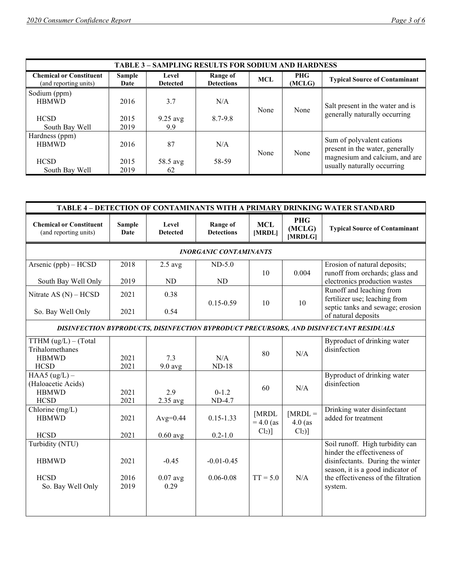| <b>TABLE 3 - SAMPLING RESULTS FOR SODIUM AND HARDNESS</b> |                |                          |                               |            |                      |                                                              |  |  |
|-----------------------------------------------------------|----------------|--------------------------|-------------------------------|------------|----------------------|--------------------------------------------------------------|--|--|
| <b>Chemical or Constituent</b><br>(and reporting units)   | Sample<br>Date | Level<br><b>Detected</b> | Range of<br><b>Detections</b> | <b>MCL</b> | <b>PHG</b><br>(MCLG) | <b>Typical Source of Contaminant</b>                         |  |  |
| Sodium (ppm)                                              |                |                          |                               |            |                      |                                                              |  |  |
| <b>HBMWD</b>                                              | 2016           | 3.7                      | N/A                           |            |                      | Salt present in the water and is                             |  |  |
|                                                           |                |                          |                               | None       | None                 | generally naturally occurring                                |  |  |
| <b>HCSD</b>                                               | 2015           | $9.25$ avg               | 8.7-9.8                       |            |                      |                                                              |  |  |
| South Bay Well                                            | 2019           | 9.9                      |                               |            |                      |                                                              |  |  |
| Hardness (ppm)                                            |                |                          |                               |            |                      |                                                              |  |  |
| <b>HBMWD</b>                                              | 2016           | 87                       | N/A                           |            |                      | Sum of polyvalent cations<br>present in the water, generally |  |  |
|                                                           |                |                          |                               | None       | None                 | magnesium and calcium, and are                               |  |  |
| <b>HCSD</b>                                               | 2015           | 58.5 avg                 | 58-59                         |            |                      |                                                              |  |  |
| South Bay Well                                            | 2019           | 62                       |                               |            |                      | usually naturally occurring                                  |  |  |

| TABLE 4 - DETECTION OF CONTAMINANTS WITH A PRIMARY DRINKING WATER STANDARD |                       |                               |                                      |                                 |                                   |                                                                                                                                                                                           |  |  |
|----------------------------------------------------------------------------|-----------------------|-------------------------------|--------------------------------------|---------------------------------|-----------------------------------|-------------------------------------------------------------------------------------------------------------------------------------------------------------------------------------------|--|--|
| <b>Chemical or Constituent</b><br>(and reporting units)                    | <b>Sample</b><br>Date | Level<br><b>Detected</b>      | <b>Range of</b><br><b>Detections</b> | <b>MCL</b><br>[MRDL]            | <b>PHG</b><br>(MCLG)<br>[MRDLG]   | <b>Typical Source of Contaminant</b>                                                                                                                                                      |  |  |
|                                                                            |                       |                               | <b>INORGANIC CONTAMINANTS</b>        |                                 |                                   |                                                                                                                                                                                           |  |  |
| Arsenic (ppb) - HCSD                                                       | 2018                  | $2.5$ avg                     | $ND-5.0$                             |                                 |                                   | Erosion of natural deposits;                                                                                                                                                              |  |  |
| South Bay Well Only                                                        | 2019                  | ND                            | ND                                   | 10                              | 0.004                             | runoff from orchards; glass and<br>electronics production wastes                                                                                                                          |  |  |
| Nitrate AS $(N)$ – HCSD                                                    | 2021                  | 0.38                          |                                      |                                 |                                   | Runoff and leaching from<br>fertilizer use; leaching from                                                                                                                                 |  |  |
| So. Bay Well Only                                                          | 2021                  | 0.54                          | $0.15 - 0.59$                        | 10                              | 10                                | septic tanks and sewage; erosion<br>of natural deposits                                                                                                                                   |  |  |
|                                                                            |                       |                               |                                      |                                 |                                   | DISINFECTION BYPRODUCTS, DISINFECTION BYPRODUCT PRECURSORS, AND DISINFECTANT RESIDUALS                                                                                                    |  |  |
| TTHM $(ug/L) - (Total)$<br>Trihalomethanes<br><b>HBMWD</b><br><b>HCSD</b>  | 2021<br>2021          | 7.3<br>$9.0$ avg              | N/A<br>$ND-18$                       | 80                              | N/A                               | Byproduct of drinking water<br>disinfection                                                                                                                                               |  |  |
| HAA5 $(ug/L)$ –<br>(Haloacetic Acids)<br><b>HBMWD</b><br><b>HCSD</b>       | 2021<br>2021          | 2.9<br>$2.35$ avg             | $0 - 1.2$<br>ND-4.7                  | 60                              | N/A                               | Byproduct of drinking water<br>disinfection                                                                                                                                               |  |  |
| Chlorine (mg/L)<br><b>HBMWD</b><br><b>HCSD</b>                             | 2021<br>2021          | Avg= $0.44$<br>$0.60$ avg     | $0.15 - 1.33$<br>$0.2 - 1.0$         | [MRDL<br>$= 4.0$ (as<br>$Cl2$ ] | $[MRDL =$<br>$4.0$ (as<br>$Cl2$ ] | Drinking water disinfectant<br>added for treatment                                                                                                                                        |  |  |
| Turbidity (NTU)<br><b>HBMWD</b><br><b>HCSD</b><br>So. Bay Well Only        | 2021<br>2016<br>2019  | $-0.45$<br>$0.07$ avg<br>0.29 | $-0.01 - 0.45$<br>$0.06 - 0.08$      | $TT = 5.0$                      | N/A                               | Soil runoff. High turbidity can<br>hinder the effectiveness of<br>disinfectants. During the winter<br>season, it is a good indicator of<br>the effectiveness of the filtration<br>system. |  |  |
|                                                                            |                       |                               |                                      |                                 |                                   |                                                                                                                                                                                           |  |  |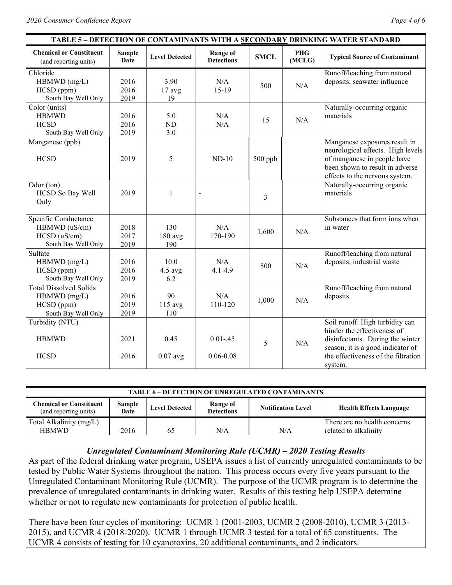| TABLE 5 - DETECTION OF CONTAMINANTS WITH A SECONDARY DRINKING WATER STANDARD         |                       |                          |                               |             |               |                                                                                                                                                                                           |  |
|--------------------------------------------------------------------------------------|-----------------------|--------------------------|-------------------------------|-------------|---------------|-------------------------------------------------------------------------------------------------------------------------------------------------------------------------------------------|--|
| <b>Chemical or Constituent</b><br>(and reporting units)                              | <b>Sample</b><br>Date | <b>Level Detected</b>    | Range of<br><b>Detections</b> | <b>SMCL</b> | PHG<br>(MCLG) | <b>Typical Source of Contaminant</b>                                                                                                                                                      |  |
| Chloride<br>$HBMWD$ (mg/L)<br>HCSD (ppm)<br>South Bay Well Only                      | 2016<br>2016<br>2019  | 3.90<br>$17$ avg<br>19   | N/A<br>$15-19$                | 500         | N/A           | Runoff/leaching from natural<br>deposits; seawater influence                                                                                                                              |  |
| Color (units)<br><b>HBMWD</b><br><b>HCSD</b><br>South Bay Well Only                  | 2016<br>2016<br>2019  | 5.0<br>ND<br>3.0         | N/A<br>N/A                    | 15          | N/A           | Naturally-occurring organic<br>materials                                                                                                                                                  |  |
| Manganese (ppb)<br><b>HCSD</b>                                                       | 2019                  | 5                        | $ND-10$                       | $500$ ppb   |               | Manganese exposures result in<br>neurological effects. High levels<br>of manganese in people have<br>been shown to result in adverse<br>effects to the nervous system.                    |  |
| Odor (ton)<br>HCSD So Bay Well<br>Only                                               | 2019                  | 1                        |                               | 3           |               | Naturally-occurring organic<br>materials                                                                                                                                                  |  |
| Specific Conductance<br>HBMWD (uS/cm)<br>$HCSD$ ( $uS/cm$ )<br>South Bay Well Only   | 2018<br>2017<br>2019  | 130<br>180 avg<br>190    | N/A<br>170-190                | 1,600       | N/A           | Substances that form ions when<br>in water                                                                                                                                                |  |
| Sulfate<br>$HBMWD$ (mg/L)<br>HCSD (ppm)<br>South Bay Well Only                       | 2016<br>2016<br>2019  | 10.0<br>$4.5$ avg<br>6.2 | N/A<br>$4.1 - 4.9$            | 500         | N/A           | Runoff/leaching from natural<br>deposits; industrial waste                                                                                                                                |  |
| <b>Total Dissolved Solids</b><br>$HBMWD$ (mg/L)<br>HCSD (ppm)<br>South Bay Well Only | 2016<br>2019<br>2019  | 90<br>$115$ avg<br>110   | N/A<br>110-120                | 1,000       | N/A           | Runoff/leaching from natural<br>deposits                                                                                                                                                  |  |
| Turbidity (NTU)<br><b>HBMWD</b><br><b>HCSD</b>                                       | 2021<br>2016          | 0.45<br>$0.07$ avg       | $0.01 - .45$<br>$0.06 - 0.08$ | 5           | N/A           | Soil runoff. High turbidity can<br>hinder the effectiveness of<br>disinfectants. During the winter<br>season, it is a good indicator of<br>the effectiveness of the filtration<br>system. |  |

| <b>TABLE 6 - DETECTION OF UNREGULATED CONTAMINANTS</b>                                                                                                                                                    |      |    |     |     |                              |  |  |  |
|-----------------------------------------------------------------------------------------------------------------------------------------------------------------------------------------------------------|------|----|-----|-----|------------------------------|--|--|--|
| <b>Chemical or Constituent</b><br><b>Sample</b><br>Range of<br><b>Level Detected</b><br><b>Notification Level</b><br><b>Health Effects Language</b><br><b>Detections</b><br>(and reporting units)<br>Date |      |    |     |     |                              |  |  |  |
| Total Alkalinity (mg/L)                                                                                                                                                                                   |      |    |     |     | There are no health concerns |  |  |  |
| <b>HBMWD</b>                                                                                                                                                                                              | 2016 | 65 | N/A | N/A | related to alkalinity        |  |  |  |

#### *Unregulated Contaminant Monitoring Rule (UCMR) – 2020 Testing Results*

As part of the federal drinking water program, USEPA issues a list of currently unregulated contaminants to be tested by Public Water Systems throughout the nation. This process occurs every five years pursuant to the Unregulated Contaminant Monitoring Rule (UCMR). The purpose of the UCMR program is to determine the prevalence of unregulated contaminants in drinking water. Results of this testing help USEPA determine whether or not to regulate new contaminants for protection of public health.

There have been four cycles of monitoring: UCMR 1 (2001-2003, UCMR 2 (2008-2010), UCMR 3 (2013- 2015), and UCMR 4 (2018-2020). UCMR 1 through UCMR 3 tested for a total of 65 constituents. The UCMR 4 consists of testing for 10 cyanotoxins, 20 additional contaminants, and 2 indicators.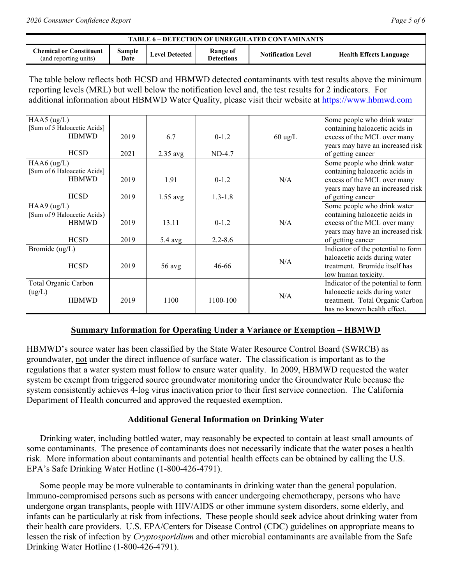| TABLE 6 - DETECTION OF UNREGULATED CONTAMINANTS                                                                                                                                                                                                                                                                             |                       |                       |                                      |                           |                                                                                                                                                       |  |  |  |
|-----------------------------------------------------------------------------------------------------------------------------------------------------------------------------------------------------------------------------------------------------------------------------------------------------------------------------|-----------------------|-----------------------|--------------------------------------|---------------------------|-------------------------------------------------------------------------------------------------------------------------------------------------------|--|--|--|
| <b>Chemical or Constituent</b><br>(and reporting units)                                                                                                                                                                                                                                                                     | <b>Sample</b><br>Date | <b>Level Detected</b> | <b>Range of</b><br><b>Detections</b> | <b>Notification Level</b> | <b>Health Effects Language</b>                                                                                                                        |  |  |  |
| The table below reflects both HCSD and HBMWD detected contaminants with test results above the minimum<br>reporting levels (MRL) but well below the notification level and, the test results for 2 indicators. For<br>additional information about HBMWD Water Quality, please visit their website at https://www.hbmwd.com |                       |                       |                                      |                           |                                                                                                                                                       |  |  |  |
| HAA5 $(ug/L)$<br>[Sum of 5 Haloacetic Acids]<br><b>HBMWD</b><br><b>HCSD</b>                                                                                                                                                                                                                                                 | 2019<br>2021          | 6.7<br>$2.35$ avg     | $0-1.2$<br>ND-4.7                    | $60 \text{ ug/L}$         | Some people who drink water<br>containing haloacetic acids in<br>excess of the MCL over many<br>years may have an increased risk<br>of getting cancer |  |  |  |
| HAA6 (ug/L)<br>[Sum of 6 Haloacetic Acids]<br><b>HBMWD</b><br><b>HCSD</b>                                                                                                                                                                                                                                                   | 2019<br>2019          | 1.91<br>$1.55$ avg    | $0 - 1.2$<br>$1.3 - 1.8$             | N/A                       | Some people who drink water<br>containing haloacetic acids in<br>excess of the MCL over many<br>years may have an increased risk<br>of getting cancer |  |  |  |
| HAA $9$ (ug/L)<br>[Sum of 9 Haloacetic Acids)<br><b>HBMWD</b><br><b>HCSD</b>                                                                                                                                                                                                                                                | 2019<br>2019          | 13.11<br>$5.4$ avg    | $0 - 1.2$<br>$2.2 - 8.6$             | N/A                       | Some people who drink water<br>containing haloacetic acids in<br>excess of the MCL over many<br>years may have an increased risk<br>of getting cancer |  |  |  |
| Bromide (ug/L)<br><b>HCSD</b>                                                                                                                                                                                                                                                                                               | 2019                  | 56 avg                | 46-66                                | N/A                       | Indicator of the potential to form<br>haloacetic acids during water<br>treatment. Bromide itself has<br>low human toxicity.                           |  |  |  |
| Total Organic Carbon<br>(ug/L)<br><b>HBMWD</b>                                                                                                                                                                                                                                                                              | 2019                  | 1100                  | 1100-100                             | N/A                       | Indicator of the potential to form<br>haloacetic acids during water<br>treatment. Total Organic Carbon<br>has no known health effect.                 |  |  |  |

## **Summary Information for Operating Under a Variance or Exemption – HBMWD**

HBMWD's source water has been classified by the State Water Resource Control Board (SWRCB) as groundwater, not under the direct influence of surface water. The classification is important as to the regulations that a water system must follow to ensure water quality. In 2009, HBMWD requested the water system be exempt from triggered source groundwater monitoring under the Groundwater Rule because the system consistently achieves 4-log virus inactivation prior to their first service connection. The California Department of Health concurred and approved the requested exemption.

## **Additional General Information on Drinking Water**

 Drinking water, including bottled water, may reasonably be expected to contain at least small amounts of some contaminants. The presence of contaminants does not necessarily indicate that the water poses a health risk. More information about contaminants and potential health effects can be obtained by calling the U.S. EPA's Safe Drinking Water Hotline (1-800-426-4791).

 Some people may be more vulnerable to contaminants in drinking water than the general population. Immuno-compromised persons such as persons with cancer undergoing chemotherapy, persons who have undergone organ transplants, people with HIV/AIDS or other immune system disorders, some elderly, and infants can be particularly at risk from infections. These people should seek advice about drinking water from their health care providers. U.S. EPA/Centers for Disease Control (CDC) guidelines on appropriate means to lessen the risk of infection by *Cryptosporidium* and other microbial contaminants are available from the Safe Drinking Water Hotline (1-800-426-4791).